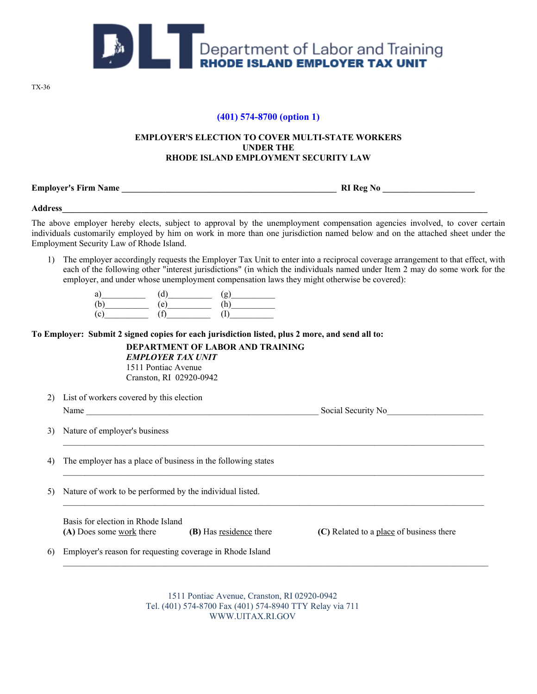

TX-36

## **(401) 574-8700 (option 1)**

## **EMPLOYER'S ELECTION TO COVER MULTI-STATE WORKERS UNDER THE RHODE ISLAND EMPLOYMENT SECURITY LAW**

**Employer's Firm Name \_\_\_\_\_\_\_\_\_\_\_\_\_\_\_\_\_\_\_\_\_\_\_\_\_\_\_\_\_\_\_\_\_\_\_\_\_\_\_\_\_\_\_\_\_\_\_\_\_ RI Reg No \_\_\_\_\_\_\_\_\_\_\_\_\_\_\_\_\_\_\_\_\_** 

**Address\_\_\_\_\_\_\_\_\_\_\_\_\_\_\_\_\_\_\_\_\_\_\_\_\_\_\_\_\_\_\_\_\_\_\_\_\_\_\_\_\_\_\_\_\_\_\_\_\_\_\_\_\_\_\_\_\_\_\_\_\_\_\_\_\_\_\_\_\_\_\_\_\_\_\_\_\_\_\_\_\_\_\_\_\_\_\_\_\_\_\_\_\_\_\_\_\_** 

The above employer hereby elects, subject to approval by the unemployment compensation agencies involved, to cover certain individuals customarily employed by him on work in more than one jurisdiction named below and on the attached sheet under the Employment Security Law of Rhode Island.

1) The employer accordingly requests the Employer Tax Unit to enter into a reciprocal coverage arrangement to that effect, with each of the following other "interest jurisdictions" (in which the individuals named under Item 2 may do some work for the employer, and under whose unemployment compensation laws they might otherwise be covered):

 $\mathcal{L}_\text{max}$ 

 $\mathcal{L}_\text{max}$ 

 $\mathcal{L}_\text{max}$ 

| u               |           | $\alpha$ |
|-----------------|-----------|----------|
| ъ<br>ı          | $\bullet$ | -11      |
| $\sqrt{2}$<br>◡ |           | J.       |

**To Employer: Submit 2 signed copies for each jurisdiction listed, plus 2 more, and send all to:** 

**DEPARTMENT OF LABOR AND TRAINING** 

*EMPLOYER TAX UNIT* 1511 Pontiac Avenue Cranston, RI 02920-0942

2) List of workers covered by this election Name Social Security No

3) Nature of employer's business  $\mathcal{L}_\text{max}$ 

4) The employer has a place of business in the following states

5) Nature of work to be performed by the individual listed.

Basis for election in Rhode Island **(A)** Does some work there **(B)** Has residence there **(C)** Related to a place of business there

6) Employer's reason for requesting coverage in Rhode Island

1511 Pontiac Avenue, Cranston, RI 02920-0942 Tel. (401) 574-8700 Fax (401) 574-8940 TTY Relay via 711 WWW.UITAX.RI.GOV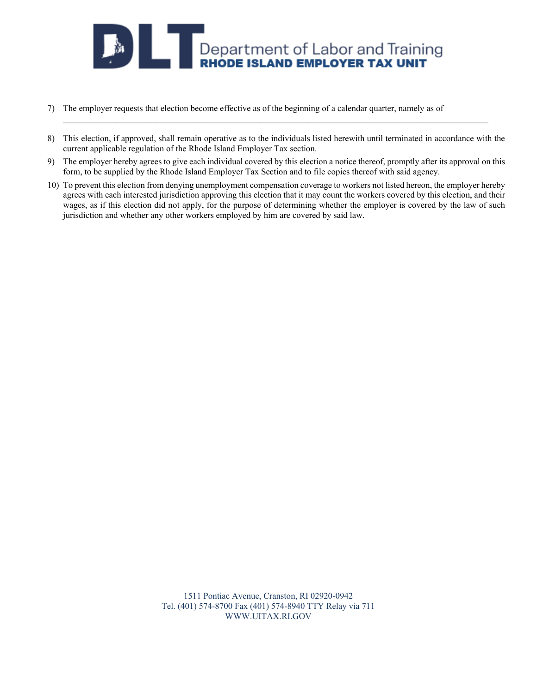

- 7) The employer requests that election become effective as of the beginning of a calendar quarter, namely as of
- 8) This election, if approved, shall remain operative as to the individuals listed herewith until terminated in accordance with the current applicable regulation of the Rhode Island Employer Tax section.
- 9) The employer hereby agrees to give each individual covered by this election a notice thereof, promptly after its approval on this form, to be supplied by the Rhode Island Employer Tax Section and to file copies thereof with said agency.
- 10) To prevent this election from denying unemployment compensation coverage to workers not listed hereon, the employer hereby agrees with each interested jurisdiction approving this election that it may count the workers covered by this election, and their wages, as if this election did not apply, for the purpose of determining whether the employer is covered by the law of such jurisdiction and whether any other workers employed by him are covered by said law.